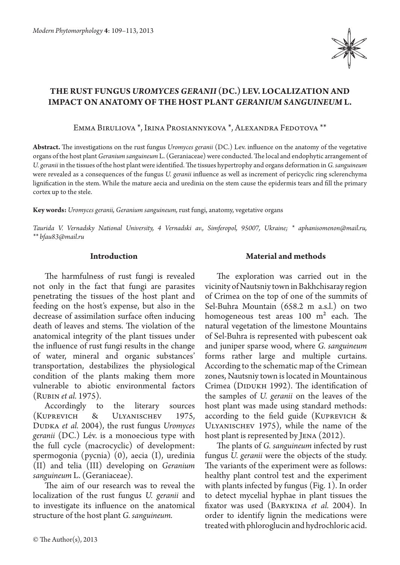

# **The rust fungus** *Uromyces geranii* **(DC.) Lev. localization and impact on anatomy of the host plant** *Geranium sanguineum* **L.**

Emma Biruliova \*, Irina Prosiannykova \*, Alexandra Fedotova \*\*

**Abstract.** The investigations on the rust fungus *Uromyces geranii* (DC.) Lev. influence on the anatomy of the vegetative organs of the host plant *Geranium sanguineum* L. (Geraniaceae) were conducted. The local and endophytic arrangement of *U. geranii* in the tissues of the host plant were identified. The tissues hypertrophy and organs deformation in *G. sanguineum*  were revealed as a consequences of the fungus *U. geranii* influence as well as increment of pericyclic ring sclerenchyma lignification in the stem. While the mature aecia and uredinia on the stem cause the epidermis tears and fill the primary cortex up to the stele.

**Key words:** *Uromyces geranii, Geranium sanguineum,* rust fungi, anatomy, vegetative organs

*Taurida V. Vernadsky National University, 4 Vernadski av., Simferopol, 95007, Ukraine; \* aphanisomenon@mail.ru, \*\* bfau83@mail.ru*

#### **Introduction**

The harmfulness of rust fungi is revealed not only in the fact that fungi are parasites penetrating the tissues of the host plant and feeding on the host's expense, but also in the decrease of assimilation surface often inducing death of leaves and stems. The violation of the anatomical integrity of the plant tissues under the influence of rust fungi results in the change of water, mineral and organic substances' transportation, destabilizes the physiological condition of the plants making them more vulnerable to abiotic environmental factors (Rubin *et al.* 1975).

Accordingly to the literary sources (Kuprevich & Ulyanischev 1975, Dudka *et al.* 2004), the rust fungus *Uromyces geranii* (DC.) Lév. is a monoecious type with the full cycle (macrocyclic) of development: spermogonia (pycnia) (0), aecia (I), uredinia (II) and telia (III) developing on *Geranium sanguineum* L. (Geraniaceae).

The aim of our research was to reveal the localization of the rust fungus *U. geranii* and to investigate its influence on the anatomical structure of the host plant *G. sanguineum.*

## **Material and methods**

The exploration was carried out in the vicinity of Nautsniy town in Bakhchisaray region of Crimea on the top of one of the summits of Sel-Buhra Mountain (658.2 m a.s.l.) on two homogeneous test areas 100 m<sup>2</sup> each. The natural vegetation of the limestone Mountains of Sel-Buhra is represented with pubescent oak and juniper sparse wood, where *G. sanguineum*  forms rather large and multiple curtains. According to the schematic map of the Crimean zones, Nautsniy town is located in Mountainous Crimea (DIDUKH 1992). The identification of the samples of *U. geranii* on the leaves of the host plant was made using standard methods: according to the field guide (Kuprevich & Ulyanischev 1975), while the name of the host plant is represented by JENA (2012).

The plants of *G. sanguineum* infected by rust fungus *U. geranii* were the objects of the study. The variants of the experiment were as follows: healthy plant control test and the experiment with plants infected by fungus (Fig. 1). In order to detect mycelial hyphae in plant tissues the fixator was used (Barykina *et al.* 2004). In order to identify lignin the medications were treated with phloroglucin and hydrochloric acid.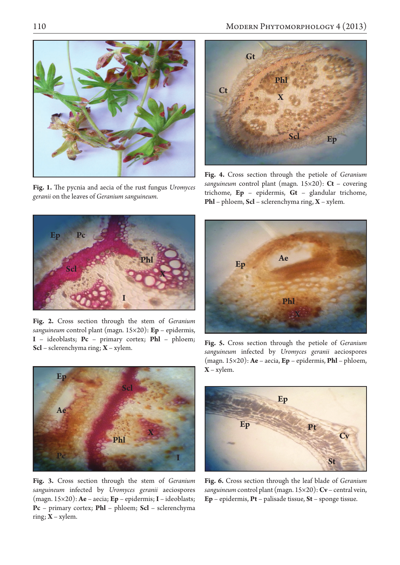

**Fig. 1.** The pycnia and aecia of the rust fungus *Uromyces geranii* on the leaves of *Geranium sanguineum.*



**Fig. 4.** Cross section through the petiole of *Geranium sanguineum* control plant (magn. 15×20): **Ct** – covering trichome, **Ep** – epidermis, **Gt** – glandular trichome, **Phl** – phloem, **Scl** – sclerenchyma ring, **X** – xylem.



**Fig. 2.** Cross section through the stem of *Geranium sanguineum* control plant (magn. 15×20): **Ep** – epidermis, **I** – ideoblasts; **Pc** – primary cortex; **Phl** – phloem; **Scl** – sclerenchyma ring; **X** – xylem.





**Fig. 3.** Cross section through the stem of *Geranium sanguineum* infected by *Uromyces geranii* aeciospores (magn. 15×20): **Ae** – aecia; **Ep** – epidermis; **I** – ideoblasts; **Pc** – primary cortex; **Phl** – phloem; **Scl** – sclerenchyma ring; **X** – xylem.

**Fig. 5.** Cross section through the petiole of *Geranium sanguineum* infected by *Uromyces geranii* aeciospores (magn. 15×20): **Ae** – aecia, **Ep** – epidermis, **Phl** – phloem, **X** – xylem.



**Fig. 6.** Cross section through the leaf blade of *Geranium sanguineum* control plant (magn. 15×20): **Cv** – central vein, **Ep** – epidermis, **Pt** – palisade tissue, **St** – sponge tissue.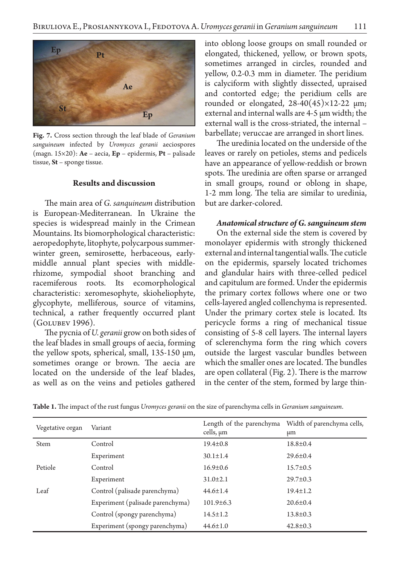

**Fig. 7.** Cross section through the leaf blade of *Geranium sanguineum* infected by *Uromyces geranii* aeciospores (magn. 15×20): **Ae** – aecia, **Ep** – epidermis, **Pt** – palisade tissue, **St** – sponge tissue.

### **Results and discussion**

The main area of *G. sanquineum* distribution is European-Mediterranean. In Ukraine the species is widespread mainly in the Crimean Mountains. Its biomorphological characteristic: aeropedophyte, litophyte, polycarpous summerwinter green, semirosette, herbaceous, earlymiddle annual plant species with middlerhizome, sympodial shoot branching and racemiferous roots. Its ecomorphological characteristic: xeromesophyte, skioheliophyte, glycophyte, melliferous, source of vitamins, technical, a rather frequently occurred plant (Golubev 1996).

The pycnia of *U. geranii* grow on both sides of the leaf blades in small groups of aecia, forming the yellow spots, spherical, small,  $135-150 \mu m$ , sometimes orange or brown. The aecia are located on the underside of the leaf blades, as well as on the veins and petioles gathered

into oblong loose groups on small rounded or elongated, thickened, yellow, or brown spots, sometimes arranged in circles, rounded and yellow, 0.2-0.3 mm in diameter. The peridium is calyciform with slightly dissected, upraised and contorted edge; the peridium cells are rounded or elongated,  $28-40(45)\times12-22 \mu m$ ; external and internal walls are 4-5 µm width; the external wall is the cross-striated, the internal – barbellate; veruccae are arranged in short lines.

The uredinia located on the underside of the leaves or rarely on petioles, stems and pedicels have an appearance of yellow-reddish or brown spots. The uredinia are often sparse or arranged in small groups, round or oblong in shape, 1-2 mm long. The telia are similar to uredinia, but are darker-colored.

#### *Anatomical structure of G. sanguineum stem*

On the external side the stem is covered by monolayer epidermis with strongly thickened external and internal tangential walls. The cuticle on the epidermis, sparsely located trichomes and glandular hairs with three-celled pedicel and capitulum are formed. Under the epidermis the primary cortex follows where one or two cells-layered angled collenchyma is represented. Under the primary cortex stele is located. Its pericycle forms a ring of mechanical tissue consisting of 5-8 cell layers. The internal layers of sclerenchyma form the ring which covers outside the largest vascular bundles between which the smaller ones are located. The bundles are open collateral (Fig. 2). There is the marrow in the center of the stem, formed by large thin-

| Vegetative organ | Variant                          | cells, µm       | Length of the parenchyma Width of parenchyma cells,<br>μm |
|------------------|----------------------------------|-----------------|-----------------------------------------------------------|
| Stem             | Control                          | $19.4 \pm 0.8$  | $18.8 \pm 0.4$                                            |
|                  | Experiment                       | $30.1 \pm 1.4$  | $29.6 \pm 0.4$                                            |
| Petiole          | Control                          | $16.9 \pm 0.6$  | $15.7 \pm 0.5$                                            |
|                  | Experiment                       | $31.0 \pm 2.1$  | $29.7 \pm 0.3$                                            |
| Leaf             | Control (palisade parenchyma)    | $44.6 \pm 1.4$  | $19.4 \pm 1.2$                                            |
|                  | Experiment (palisade parenchyma) | $101.9 \pm 6.3$ | $20.6 \pm 0.4$                                            |
|                  | Control (spongy parenchyma)      | $14.5 \pm 1.2$  | $13.8 \pm 0.3$                                            |
|                  | Experiment (spongy parenchyma)   | $44.6 \pm 1.0$  | $42.8 \pm 0.3$                                            |

**Table 1.** The impact of the rust fungus *Uromyces geranii* on the size of parenchyma cells in *Geranium sanguineum*.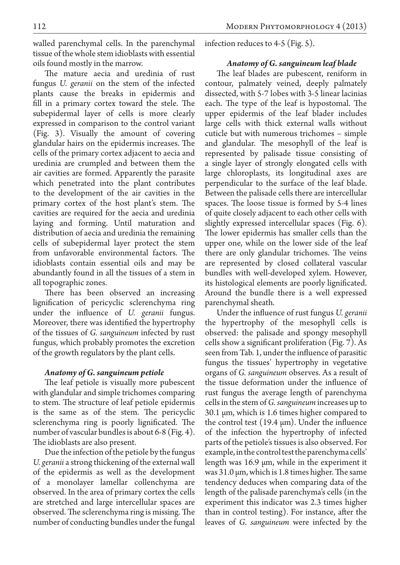walled parenchymal cells. In the parenchymal tissue of the whole stem idioblasts with essential oils found mostly in the marrow.

The mature aecia and uredinia of rust fungus *U. geranii* on the stem of the infected plants cause the breaks in epidermis and fill in a primary cortex toward the stele. The subepidermal layer of cells is more clearly expressed in comparison to the control variant (Fig. 3). Visually the amount of covering glandular hairs on the epidermis increases. The cells of the primary cortex adjacent to aecia and uredinia are crumpled and between them the air cavities are formed. Apparently the parasite which penetrated into the plant contributes to the development of the air cavities in the primary cortex of the host plant's stem. The cavities are required for the aecia and uredinia laying and forming. Until maturation and distribution of aecia and uredinia the remaining cells of subepidermal layer protect the stem from unfavorable environmental factors. The idioblasts contain essential oils and may be abundantly found in all the tissues of a stem in all topographic zones.

There has been observed an increasing lignification of pericyclic sclerenchyma ring under the influence of *U. geranii* fungus. Moreover, there was identified the hypertrophy of the tissues of *G. sanguineum* infected by rust fungus, which probably promotes the excretion of the growth regulators by the plant cells.

## *Anatomy of G. sanguineum petiole*

The leaf petiole is visually more pubescent with glandular and simple trichomes comparing to stem. The structure of leaf petiole epidermis is the same as of the stem. The pericyclic sclerenchyma ring is poorly lignificated. The number of vascular bundles is about 6-8 (Fig. 4). The idioblasts are also present.

Due the infection of the petiole by the fungus *U. geranii* a strong thickening of the external wall of the epidermis as well as the development of a monolayer lamellar collenchyma are observed. In the area of primary cortex the cells are stretched and large intercellular spaces are observed. The sclerenchyma ring is missing. The number of conducting bundles under the fungal infection reduces to 4-5 (Fig. 5).

## *Anatomy of G. sanguineum leaf blade*

The leaf blades are pubescent, reniform in contour, palmately veined, deeply palmately dissected, with 5-7 lobes with 3-5 linear lacinias each. The type of the leaf is hypostomal. The upper epidermis of the leaf blader includes large cells with thick external walls without cuticle but with numerous trichomes – simple and glandular. The mesophyll of the leaf is represented by palisade tissue consisting of a single layer of strongly elongated cells with large chloroplasts, its longitudinal axes are perpendicular to the surface of the leaf blade. Between the palisade cells there are intercellular spaces. The loose tissue is formed by 5-4 lines of quite closely adjacent to each other cells with slightly expressed intercellular spaces (Fig. 6). The lower epidermis has smaller cells than the upper one, while on the lower side of the leaf there are only glandular trichomes. The veins are represented by closed collateral vascular bundles with well-developed xylem. However, its histological elements are poorly lignificated. Around the bundle there is a well expressed parenchymal sheath.

Under the influence of rust fungus *U. geranii*  the hypertrophy of the mesophyll cells is observed: the palisade and spongy mesophyll cells show a significant proliferation (Fig. 7). As seen from Tab. 1, under the influence of parasitic fungus the tissues' hypertrophy in vegetative organs of *G. sanguineum* observes. As a result of the tissue deformation under the influence of rust fungus the average length of parenchyma cells in the stem of *G. sanguineum* increases up to 30.1 µm, which is 1.6 times higher compared to the control test  $(19.4 \,\mu m)$ . Under the influence of the infection the hypertrophy of infected parts of the petiole's tissues is also observed. For example, in the control test the parenchyma cells' length was 16.9 µm, while in the experiment it was 31.0 µm, which is 1.8 times higher. The same tendency deduces when comparing data of the length of the palisade parenchyma's cells (in the experiment this indicator was 2.3 times higher than in control testing). For instance, after the leaves of *G. sanguineum* were infected by the